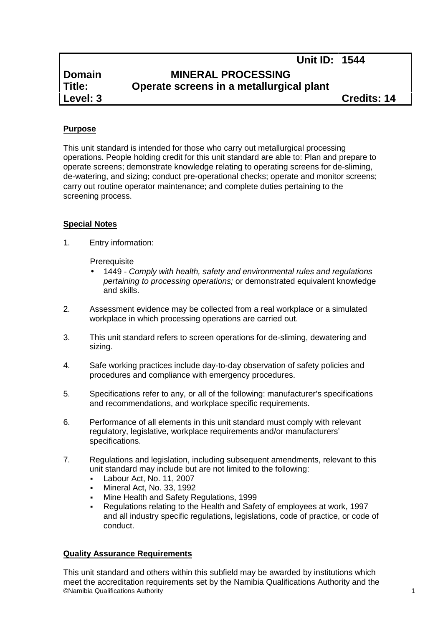|               | Unit ID: 1544                            |  |
|---------------|------------------------------------------|--|
| <b>Domain</b> | <b>MINERAL PROCESSING</b>                |  |
| Title:        | Operate screens in a metallurgical plant |  |
| Level: 3      | <b>Credits: 14</b>                       |  |

# **Purpose**

This unit standard is intended for those who carry out metallurgical processing operations. People holding credit for this unit standard are able to: Plan and prepare to operate screens; demonstrate knowledge relating to operating screens for de-sliming, de-watering, and sizing; conduct pre-operational checks; operate and monitor screens; carry out routine operator maintenance; and complete duties pertaining to the screening process.

#### **Special Notes**

1. Entry information:

**Prerequisite** 

- 1449 *- Comply with health, safety and environmental rules and regulations pertaining to processing operations;* or demonstrated equivalent knowledge and skills.
- 2. Assessment evidence may be collected from a real workplace or a simulated workplace in which processing operations are carried out.
- 3. This unit standard refers to screen operations for de-sliming, dewatering and sizing.
- 4. Safe working practices include day-to-day observation of safety policies and procedures and compliance with emergency procedures.
- 5. Specifications refer to any, or all of the following: manufacturer's specifications and recommendations, and workplace specific requirements.
- 6. Performance of all elements in this unit standard must comply with relevant regulatory, legislative, workplace requirements and/or manufacturers' specifications.
- 7. Regulations and legislation, including subsequent amendments, relevant to this unit standard may include but are not limited to the following:
	- Labour Act, No. 11, 2007
	- Mineral Act, No. 33, 1992
	- Mine Health and Safety Regulations, 1999
	- Regulations relating to the Health and Safety of employees at work, 1997 and all industry specific regulations, legislations, code of practice, or code of conduct.

# **Quality Assurance Requirements**

©Namibia Qualifications Authority 1 This unit standard and others within this subfield may be awarded by institutions which meet the accreditation requirements set by the Namibia Qualifications Authority and the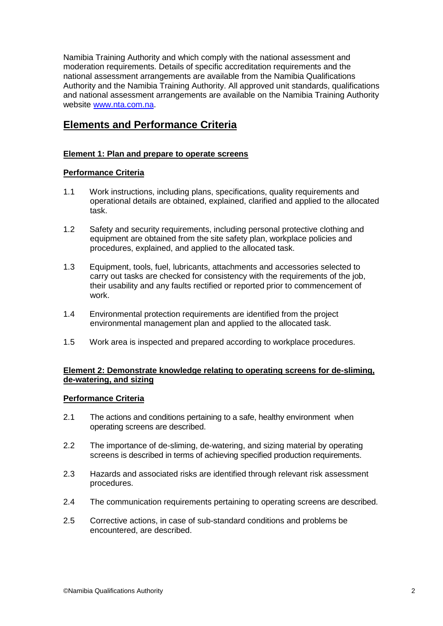Namibia Training Authority and which comply with the national assessment and moderation requirements. Details of specific accreditation requirements and the national assessment arrangements are available from the Namibia Qualifications Authority and the Namibia Training Authority. All approved unit standards, qualifications and national assessment arrangements are available on the Namibia Training Authority website www.nta.com.na.

# **Elements and Performance Criteria**

# **Element 1: Plan and prepare to operate screens**

# **Performance Criteria**

- 1.1 Work instructions, including plans, specifications, quality requirements and operational details are obtained, explained, clarified and applied to the allocated task.
- 1.2 Safety and security requirements, including personal protective clothing and equipment are obtained from the site safety plan, workplace policies and procedures, explained, and applied to the allocated task.
- 1.3 Equipment, tools, fuel, lubricants, attachments and accessories selected to carry out tasks are checked for consistency with the requirements of the job, their usability and any faults rectified or reported prior to commencement of work.
- 1.4 Environmental protection requirements are identified from the project environmental management plan and applied to the allocated task.
- 1.5 Work area is inspected and prepared according to workplace procedures.

# **Element 2: Demonstrate knowledge relating to operating screens for de-sliming, de-watering, and sizing**

# **Performance Criteria**

- 2.1 The actions and conditions pertaining to a safe, healthy environment when operating screens are described.
- 2.2 The importance of de-sliming, de-watering, and sizing material by operating screens is described in terms of achieving specified production requirements.
- 2.3 Hazards and associated risks are identified through relevant risk assessment procedures.
- 2.4 The communication requirements pertaining to operating screens are described.
- 2.5 Corrective actions, in case of sub-standard conditions and problems be encountered, are described.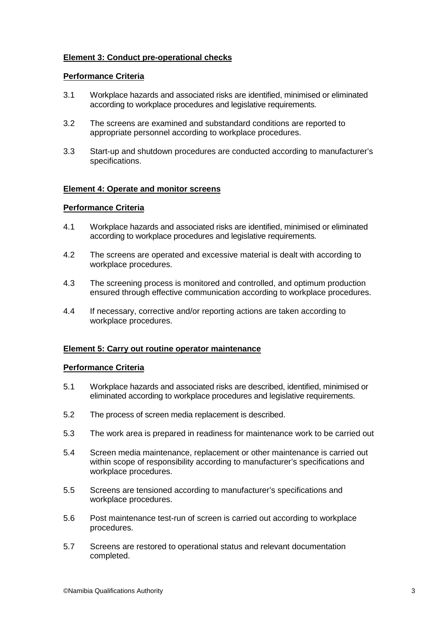# **Element 3: Conduct pre-operational checks**

#### **Performance Criteria**

- 3.1 Workplace hazards and associated risks are identified, minimised or eliminated according to workplace procedures and legislative requirements.
- 3.2 The screens are examined and substandard conditions are reported to appropriate personnel according to workplace procedures.
- 3.3 Start-up and shutdown procedures are conducted according to manufacturer's specifications.

#### **Element 4: Operate and monitor screens**

#### **Performance Criteria**

- 4.1 Workplace hazards and associated risks are identified, minimised or eliminated according to workplace procedures and legislative requirements.
- 4.2 The screens are operated and excessive material is dealt with according to workplace procedures.
- 4.3 The screening process is monitored and controlled, and optimum production ensured through effective communication according to workplace procedures.
- 4.4 If necessary, corrective and/or reporting actions are taken according to workplace procedures.

#### **Element 5: Carry out routine operator maintenance**

#### **Performance Criteria**

- 5.1 Workplace hazards and associated risks are described, identified, minimised or eliminated according to workplace procedures and legislative requirements.
- 5.2 The process of screen media replacement is described.
- 5.3 The work area is prepared in readiness for maintenance work to be carried out
- 5.4 Screen media maintenance, replacement or other maintenance is carried out within scope of responsibility according to manufacturer's specifications and workplace procedures.
- 5.5 Screens are tensioned according to manufacturer's specifications and workplace procedures.
- 5.6 Post maintenance test-run of screen is carried out according to workplace procedures.
- 5.7 Screens are restored to operational status and relevant documentation completed.